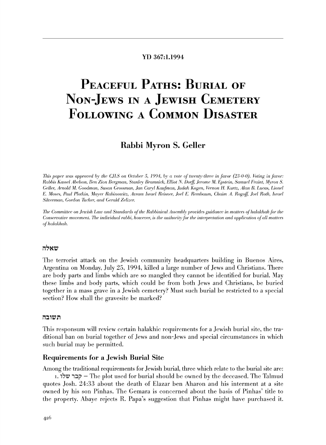#### YD 367:1.1994

# PEACEFUL PATHS: BURIAL OF NON-JEWS IN A JEWISH CEMETERY **FOLLOWING A COMMON DISASTER**

# Rabbi Myron S. Geller

This paper was approved by the CILS on October 5, 1994, by a vote of twenty-three in favor (23-0-0). Voting in favor: Rabbis Kassel Abelson, Ben Zion Bergman, Stanley Bramnick, Elliot N. Dorff, Jerome M. Epstein, Samuel Fraint, Myron S. Geller, Arnold M. Goodman, Susan Grossman, Jan Caryl Kaufman, Judah Kogen, Vernon H. Kurtz, Alan B. Lucas, Lionel E. Moses, Paul Plotkin, Mayer Rabinowitz, Avram Israel Reisner, Joel E. Rembaum, Chaim A. Rogoff, Joel Roth, Israel Silverman, Gordon Tucker, and Gerald Zelizer.

The Committee on Jewish Law and Standards of the Rabbinical Assembly provides guidance in matters of halakhah for the Conservative movement. The individual rabbi, however, is the authority for the interpretation and application of all matters of halakhah.

# שאלה

The terrorist attack on the Jewish community headquarters building in Buenos Aires, Argentina on Monday, July 25, 1994, killed a large number of Jews and Christians. There are body parts and limbs which are so mangled they cannot be identified for burial. May these limbs and body parts, which could be from both Jews and Christians, be buried together in a mass grave in a Jewish cemetery? Must such burial be restricted to a special section? How shall the graves ite be marked?

## תשובה

This responsum will review certain halakhic requirements for a Jewish burial site, the traditional ban on burial together of Jews and non-Jews and special circumstances in which such burial may be permitted.

#### Requirements for a Jewish Burial Site

Among the traditional requirements for Jewish burial, three which relate to the burial site are: 1. קבר שלו The plot used for burial should be owned by the deceased. The Talmud quotes Josh. 24:33 about the death of Elazar ben Aharon and his interment at a site owned by his son Pinhas. The Gemara is concerned about the basis of Pinhas' title to the property. Abaye rejects R. Papa's suggestion that Pinhas might have purchased it.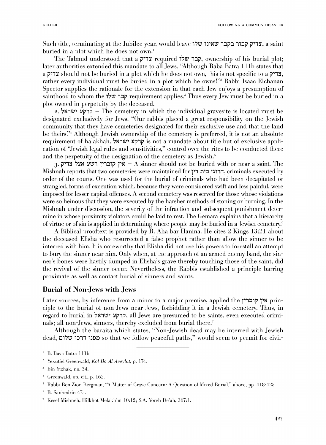Such title, terminating at the Jubilee year, would leave 17W 101272 1747, a saint buried in a plot which he does not own.'

The Talmud understood that a בבריק required 17The Talmud understood that a  $\bar{z}$ later authorities extended this mandate to all Jews. "Although Baba Batra lllb states that a צדיק should not be buried in a plot which he does not own, this is not specific to a  $\gamma$ rather every individual must be buried in a plot which he owns!"<sup>2</sup> Rabbi Isaac Elchanan Spector supplies the rationale for the extension in that each Jew enjoys a presumption of sainthood to whom the 17W 1:::Jp requirement applies.' Thus every Jew must be buried in a plot owned in perpetuity by the deceased.

2. 71 $\pm$  $\tau$   $\gamma$ רקע  $\tau$  The cemetery in which the individual gravesite is located must be designated exclusively for Jews. "Our rabbis placed a great responsibility on the Jewish community that they have cemeteries designated for their exclusive use and that the land be theirs."<sup>4</sup> Although Jewish ownership of the cemetery is preferred, it is not an absolute requirement of halakhah. 71\1W' :lip1p is not a mandate about title but of exclusive application of "Jewish legal rules and sensitivities," control over the rites to be conducted there and the perpetuity of the designation of the cemetery as Jewish.<sup>5</sup>

3. אין קוברין רשע אצל צדיק $-$ A sinner should not be buried with or near a saint. The :\1ishnah reports that two cemeteries were maintained for 1'1 n•:::J 'l11i1, criminals executed by order of the courts. One was used for the burial of criminals who had been decapitated or strangled, forms of execution which, because they were considered swift and less painful, were imposed for lesser capital offenses. A second cemetery was reserved for those whose violations were so heinous that they were executed by the harsher methods of stoning or burning. In the :\Iishnah under discussion, the severity of the infraction and subsequent punishment determine in whose proximity violators could be laid to rest. The Gemara explains that a hierarchy of virtue or of sin is applied in determining where people may be buried in a Jewish cemetery.<sup>6</sup>

A Biblical prooftext is provided by R. Aha bar Hanina. He cites 2 Kings 13:21 about the deceased Elisha who resurrected a false prophet rather than allow the sinner to be interred with him. It is noteworthy that Elisha did not usc his powers to forestall an attempt to bury the sinner near him. Only when, at the approach of an armed enemy band, the sinner's bones were hastily dumped in Elisha's grave thereby touching those of the saint, did the revival of the sinner occur. Nevertheless, the Rabbis established a principle barring proximate as well as contact burial of sinners and saints.

# Burial of Non-Jews with Jews

Later sources, by inference from a minor to a major premise, applied the  $\gamma$ ין קוברין ciple to the burial of non-Jews near Jews, forbidding it in a Jewish cemetery. Thus, in regard to burial in 71\1'(1)' :lip1p, all Jews are presumed to be saints, even executed criminals; all non-Jews, sinners, thereby excluded from burial there.<sup>7</sup>

Although the baraita which states, "Non-Jewish dead may be interred with Jewish dead, מפני דרכי שלום so that we follow peaceful paths," would seem to permit for civil-

Yekutiel Greenwald, Kol *Ro AI Aveylut,* p. 174.

 $\pm$  Greenwald, op. cit., p. 162.

<sup>&</sup>lt;sup>1</sup> B. Bava Batra 111b.

Ein Ytzhak, no. 34.

<sup>&</sup>lt;sup>5</sup> Rabbi Ben Zion Bergman, "A Matter of Grave Concern: A Question of Mixed Burial," above, pp. 418-425.

<sup>&</sup>lt;sup>6</sup> B. Sanhedrin 47a.

 $^7$  Kesef Mishneh, Hilkhot Melakhim 10:12; S.A. Yoreh De'ah, 367:1.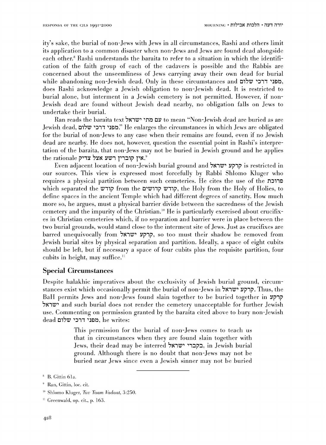ity's sake, the burial of non-Jews with Jews in all circumstances, Rashi and others limit its application to a common disaster when non-Jews and Jews arc found dead alongside each other." Rashi understands the baraita to refer to a situation in which the identification of the faith group of each of the cadavers is possible and the Rabbis are concerned about the unseemliness of Jews carrying away their own dead for burial while abandoning non-Jewish dead. Only in these circumstances and כמפני דרכי שלום, does Rashi acknowledge a Jewish obligation to non-Jewish dead. It is restricted to burial alone, but interment in a Jewish cemetery is not permitted. However, if non-Jewish dead are found without Jewish dead nearby, no obligation falls on Jews to undertake their burial.

Ran reads the baraita text עם מתי ישראל to mean "Non-Jewish dead are buried as are Jewish dead, מפני דרכי שלום": He enlarges the circumstances in which Jews are obligated for the burial of non-Jews to any case when their remains are found, even if no Jewish dead are nearby. He does not, however, question the essential point in Rashi's interpretation of the baraita, that non-Jews may not be buried in Jewish ground and he applies the rationale אין הוברין השע אצל אין האין

Even adjacent location of non-Jewish burial ground and קרקע ישראל is restricted in our sources. This view is expressed most forcefully by Rabbi Shlomo Kluger who requires a physical partition between such cemeteries. He cites the use of the aritic which separated the קודש from the provests, to קודש, the Holy from the Holy of Holies, to define spaces in the ancient Temple which had different degrees of sanctity. How much more so, he argues, must a physical barrier divide between the sacredness of the Jewish cemetery and the impurity of the Christian. 10 He is particularly exercised about crucifixes in Christian cemeteries which, if no separation and barrier were in place between the two burial grounds, would stand close to the interment site of Jews. Just as crucifixes are barred unequivocally from 7l\11V" .,p1p, so too must their shadow be removed from Jewish burial sites by physical separation and partition. Ideally, a space of eight cubits should be left, but if necessary a space of four cubits plus the requisite partition, four cubits in height, may suffice. $\mathbf{u}$ 

# Special Circumstances

Despite halakhic imperatives about the exclusivity of Jewish burial ground, circumstances exist which occasionally permit the burial of non-Jews in קרקע ישראל. Thus, the BaH permits Jews and non-Jews found slain together to be buried together in קרקע ישראל and such burial does not render the cemetery unacceptable for further Jewish use. Commenting on permission granted by the baraita cited above to bury non-Jewish  $\rm dead$  מפני דרכי שלום. he writes:

> This permission for the burial of non-Jews comes to teach us that in circumstances when they are found slain together with Jews, their dead may be interred בקברי ישראל, in Jewish burial ground. Although there is no doubt that non-Jews may not be buried near Jews since even a Jewish sinner may not be buried

<sup>&</sup>lt;sup>8</sup> B. Gittin 61a.

<sup>&#</sup>x27;~ Han, Gittin, loc. cit.

<sup>&</sup>lt;sup>10</sup> Shlomo Kluger, *Tuv Taam Vadaat*, 3:250.

<sup>&#</sup>x27;' Greenwald, op. cit., p. 163.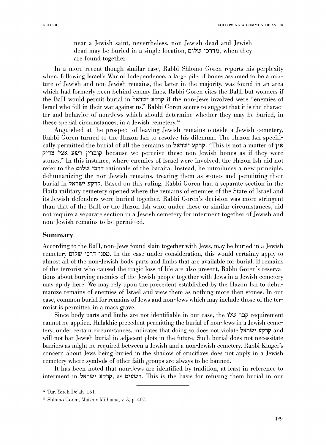near a Jewish saint, nevertheless, non-Jewish dead and Jewish dead may be buried in a single location, **מדרכי שלום**, when they are found together.<sup>12</sup>

In a more recent though similar case, Rabbi Shlomo Goren reports his perplexity when, following Israel's War of Independence, a large pile of bones assumed to be a mixture of Jewish and non-Jewish remains, the latter in the majority, was found in an area which had formerly been behind enemy lines. Rabbi Goren cites the BaH, but wonders if the BaH would permit burial in קרקע ישראל if the non-Jews involved were "enemies of Tsrael who fell in their war against us:' Rabbi Coren seems to suggest that it is the character and behavior of non-Jews which should determine whether they may be buried, in these special circumstances, in a Jewish cemetery.<sup>13</sup>

Anguished at the prospect of leaving Jewish remains outside a Jewish cemetery, Rabbi Goren turned to the Hazon Ish to resolve his dilemma. The Hazon Ish specifically permitted the burial of all the remains in 777 : קרקע ישראל, "This is not a matter of i''1~ 7~1'( *:l71Z71* 1'1:J1i' because we perceive these non-.Jewish bones as if they were stones." In this instance, where enemies of Israel were involved, the Hazon Ish did not refer to the  $\tau$ ירכי שלום rationale of the baraita. Instead, he introduces a new principle, dehumanizing the non-Jewish remains, treating them as stones and permitting their burial in 7l'(11Z7' :!7p1p. Based on this ruling, Rabbi Goren had a separate section in the Haifa military cemetery opened where the remains of enemies of the State of Israel and its Jewish defenders were buried together. Rabbi Goren's decision was more stringent than that of the BaH or the Hazon Ish who, under these or similar circumstances, did not require a separate section in a Jewish cemetery for interment together of Jewish and non-Jewish remains to be permitted.

## Summary

According to the BaH, non-Jews found slain together with Jews, may be buried in a Jewish cemetery 'תכני דרכי שלום. In the case under consideration, this would certainly apply to almost all of the non-Jewish body parts and limbs that are available for burial. If remains of the terrorist who caused the tragic loss of life are also present, Rabbi Goren's reservations about burying enemies of the Jewish people together with Jews in a Jewish cemetery may apply here. We may rely upon the precedent established by the Hazon Ish to dehumanize remains of enemies of Israel and view them as nothing more then stones. In our case, common burial for remains of Jews and non-Jews which may include those of the terrorist is permitted in a mass grave.

Since body parts and limbs are not identifiable in our case, the 171Z7 1:Ji' requirement cannot be applied. Halakhic precedent permitting the burial of non-Jews in a Jewish cemetery, under certain circumstances, indicates that doing so does not violate  $\forall$ רקע ישראל will not bar Jewish burial in adjacent plots in the future. Such burial does not necessitate barriers as might be required between a Jewish and a non-Jewish cemetery. Rabbi IGuger's concern about Jews being buried in the shadow of crucifixes does not apply in a Jewish cemetery where symbols of other faith groups are always to be banned.

It has been noted that non-Jews are identified by tradition, at least in reference to interment in קרקע ישראל . This is the basis for refusing them burial in our

<sup>12</sup> Tur, Yoreh De'ah, 151.

<sup>13</sup> Shlomo Goren, Maishiv Milhama, v. 3, p. 407.